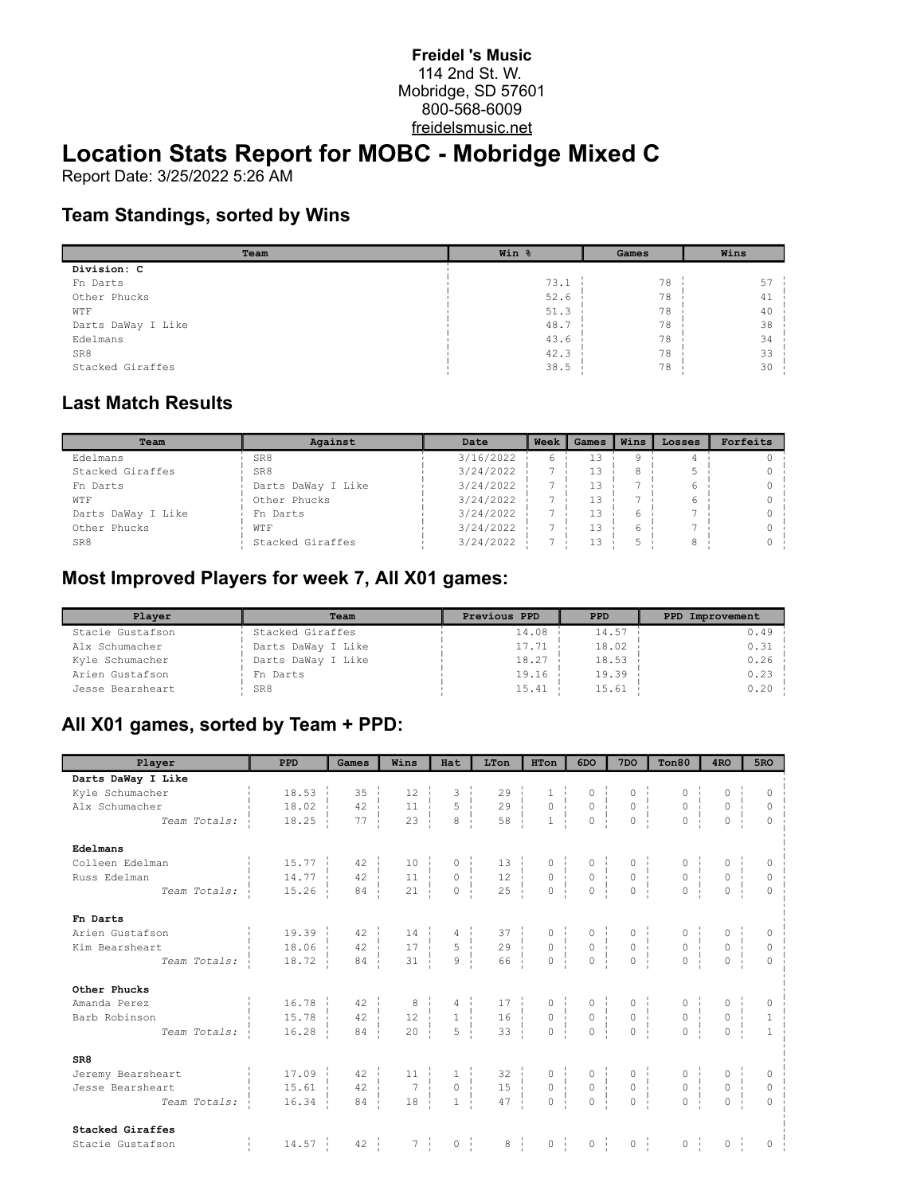#### **Freidel 's Music** 114 2nd St. W. Mobridge, SD 57601 800-568-6009 freidelsmusic.net

# **Location Stats Report for MOBC - Mobridge Mixed C**

Report Date: 3/25/2022 5:26 AM

#### **Team Standings, sorted by Wins**

| Team               | Win % | Games | Wins |
|--------------------|-------|-------|------|
| Division: C        |       |       |      |
| Fn Darts           | 73.1  | 78    | 57   |
| Other Phucks       | 52.6  | 78    | 41   |
| WTF                | 51.3  | 78    | 40   |
| Darts DaWay I Like | 48.7  | 78    | 38   |
| Edelmans           | 43.6  | 78    | 34   |
| SR8                | 42.3  | 78    | 33   |
| Stacked Giraffes   | 38.5  | 78    | 30   |

### **Last Match Results**

| Team               | Against            | Date      | Week | Games | Wins | Losses | Forfeits |
|--------------------|--------------------|-----------|------|-------|------|--------|----------|
| Edelmans           | SR8                | 3/16/2022 |      |       |      |        |          |
| Stacked Giraffes   | SR8                | 3/24/2022 |      |       |      |        |          |
| Fn Darts           | Darts DaWay I Like | 3/24/2022 |      |       |      |        |          |
| WTF                | Other Phucks       | 3/24/2022 |      | 13    |      |        |          |
| Darts DaWay I Like | Fn Darts           | 3/24/2022 |      | 13    |      |        |          |
| Other Phucks       | WTF                | 3/24/2022 |      | 13    |      |        |          |
| SR8                | Stacked Giraffes   | 3/24/2022 |      |       |      |        |          |

### **Most Improved Players for week 7, All X01 games:**

| Plaver           | Team               | Previous PPD | <b>PPD</b> | PPD Improvement |
|------------------|--------------------|--------------|------------|-----------------|
| Stacie Gustafson | Stacked Giraffes   | 14.08        | 14.57      | $0.49$ i        |
| Alx Schumacher   | Darts DaWay I Like | 17.71        | 18.02      | $0.31 -$        |
| Kyle Schumacher  | Darts DaWay I Like | 18.27        | 18.53      | 0.26            |
| Arien Gustafson  | Fn Darts           | 19.16        | 19.39      | $0.23 -$        |
| Jesse Bearsheart | SR8                | 15.41        | 15.61      | $0.20$ i        |

### **All X01 games, sorted by Team + PPD:**

| Player             | <b>PPD</b>            | Games            | Wins                                                                                  | Hat                                   | LTon                                                                                                                          | HTon                                       | 6DO                                                                                        | 7 <sub>DO</sub>                                      | Ton80                                                                                                         | 4 <sub>RO</sub>                                                                                               | 5RO            |
|--------------------|-----------------------|------------------|---------------------------------------------------------------------------------------|---------------------------------------|-------------------------------------------------------------------------------------------------------------------------------|--------------------------------------------|--------------------------------------------------------------------------------------------|------------------------------------------------------|---------------------------------------------------------------------------------------------------------------|---------------------------------------------------------------------------------------------------------------|----------------|
| Darts DaWay I Like |                       |                  |                                                                                       |                                       |                                                                                                                               |                                            |                                                                                            |                                                      |                                                                                                               |                                                                                                               |                |
| Kyle Schumacher    | $18.53 \text{ }$      | $35 \frac{1}{2}$ | $12 \pm$                                                                              |                                       | $29 -$                                                                                                                        |                                            | $0 - i$                                                                                    | $\circ$                                              |                                                                                                               |                                                                                                               | $\Omega$       |
| Alx Schumacher     | 18.02                 | $42 \cdot$       | $\begin{array}{c c} 11 & \cdots \\ 23 & \cdots \end{array}$                           | $\begin{array}{c} 5 \\ 8 \end{array}$ | $\begin{array}{c c} 29 &   &   &   \\ 58 &   &   &   \end{array}$                                                             | $\begin{array}{c} 0 \\ 0 \\ 1 \end{array}$ | $\begin{matrix} 0 \\ 0 \\ \vdots \end{matrix}$                                             | $\begin{matrix} 0 &   &   \\ 0 &   &   \end{matrix}$ | $\begin{matrix} 0 \\ 0 \\ 1 \end{matrix}$                                                                     | $\begin{matrix} 0 &   &   \\ 0 &   &   \\ 0 &   &   \end{matrix}$                                             | 0              |
| Team Totals:       | 18.25                 | 77               |                                                                                       |                                       |                                                                                                                               |                                            |                                                                                            |                                                      |                                                                                                               |                                                                                                               | $\overline{0}$ |
| Edelmans           |                       |                  |                                                                                       |                                       |                                                                                                                               |                                            |                                                                                            |                                                      |                                                                                                               |                                                                                                               |                |
| Colleen Edelman    | $15.77 \pm$           | 42               | $10 - 1$                                                                              |                                       | $\begin{array}{c cc} 0 &   & 13 \\ 0 &   & 12 \\ 0 &   & 25 \\ \end{array}$                                                   |                                            | $\begin{array}{cccc} 0 &   & & 0 \\ 0 &   & & 0 \\ 0 &   & & 0 \\ 0 &   & & 0 \end{array}$ |                                                      | $\begin{array}{c} 0 \\ 0 \\ \vdots \\ 0 \end{array}$                                                          | $\begin{array}{c} 0 \\ 0 \\ \vdots \\ 0 \end{array}$                                                          | $\Omega$       |
| Russ Edelman       | $14.77$ $\vdots$      | 42               | $\begin{array}{c} 11 \\ 21 \end{array}$                                               |                                       |                                                                                                                               |                                            |                                                                                            |                                                      |                                                                                                               | $\begin{matrix} 0 &   &   \\ 0 &   &   \\ 0 &   &   \end{matrix}$                                             | $\mathbb O$    |
| Team Totals:       | 15.26                 | 84               |                                                                                       |                                       |                                                                                                                               |                                            |                                                                                            |                                                      |                                                                                                               |                                                                                                               |                |
| Fn Darts           |                       |                  |                                                                                       |                                       |                                                                                                                               |                                            |                                                                                            |                                                      |                                                                                                               |                                                                                                               |                |
| Arien Gustafson    | $19.39$ $\frac{1}{2}$ | $42 - 1$         | $\begin{array}{c c} 14 &   &   &   \\ 17 &   &   & \\ 31 &   &   \end{array}$         |                                       | $\begin{array}{ccccccccc} 4 &   & & 37 &   & & 0 &   \\ 5 &   & & 29 &   & & 0 &   \\ 9 &   & & 66 &   & & 0 &   \end{array}$ |                                            | $\begin{array}{c}\n0 \\ 0 \\ \vdots \\ \end{array}$                                        | $\begin{array}{c}\n0 \\ 0 \\ \vdots\n\end{array}$    | $\begin{array}{c}\n0 \\ 0 \\ \vdots \\ 0\n\end{array}$                                                        |                                                                                                               |                |
| Kim Bearsheart     | 18.06                 | $42 \frac{1}{2}$ |                                                                                       |                                       |                                                                                                                               |                                            |                                                                                            |                                                      |                                                                                                               | $\begin{matrix} 0 \\ 0 \\ 0 \\ 0 \end{matrix}$                                                                | $\mathbb O$    |
| Team Totals:       | 18.72                 | 84               |                                                                                       |                                       |                                                                                                                               |                                            |                                                                                            |                                                      |                                                                                                               |                                                                                                               | $\Omega$       |
| Other Phucks       |                       |                  |                                                                                       |                                       |                                                                                                                               |                                            |                                                                                            |                                                      |                                                                                                               |                                                                                                               |                |
| Amanda Perez       | 16.78                 | $42 - 1$         | $\begin{array}{c c} 8 &   &   &   \\ 12 &   &   & \\ 20 &   &   \end{array}$          |                                       | $\begin{array}{cccccc} 4 & 1 & 17 & 0 & 0 & 0 \\ 1 & 16 & 0 & 0 & 0 \\ 5 & 33 & 0 & 0 & 0 \\ \end{array}$                     |                                            |                                                                                            |                                                      | $\begin{array}{cccc} 0 &   & & 0 &   \\ 0 &   & & 0 &   \\ 0 &   & & 0 &   \\ 0 &   & & 0 &   \\ \end{array}$ | $\begin{array}{c} 0 \\ 0 \\ 0 \\ \vdots \\ 0 \end{array}$                                                     | 0              |
| Barb Robinson      | 15.78                 | $42 \frac{1}{2}$ |                                                                                       |                                       |                                                                                                                               |                                            |                                                                                            |                                                      |                                                                                                               |                                                                                                               | $\mathbf{1}$   |
| Team Totals:       | 16.28                 | $84 - 1$         |                                                                                       |                                       |                                                                                                                               |                                            |                                                                                            |                                                      |                                                                                                               |                                                                                                               | $\overline{1}$ |
| SR8                |                       |                  |                                                                                       |                                       |                                                                                                                               |                                            |                                                                                            |                                                      |                                                                                                               |                                                                                                               |                |
| Jeremy Bearsheart  | $17.09 -$             | 42               | $\begin{array}{c c} 11 &   &   &   \\ \hline 7 &   &   &   \\ 18 &   &   \end{array}$ |                                       | $\begin{array}{cccccc} 1 & & 32 & & 0 & & 0 \\ 0 & & 15 & & 0 & & 0 \\ 1 & & 47 & & 0 & & 0 \\ \end{array}$                   |                                            |                                                                                            |                                                      | $\begin{array}{c} 0 \\ 0 \\ 1 \\ -1 \end{array}$                                                              | $\begin{matrix} 0 \\ 0 \\ \vdots \\ 0 \end{matrix}$<br>$\begin{array}{c} 0 \\ 0 \\ \hline 0 \\ 0 \end{array}$ |                |
| Jesse Bearsheart   | 15.61                 | 42               |                                                                                       |                                       |                                                                                                                               |                                            |                                                                                            |                                                      |                                                                                                               |                                                                                                               | $\circ$        |
| Team Totals:       | 16.34                 | 84               |                                                                                       |                                       |                                                                                                                               |                                            |                                                                                            |                                                      |                                                                                                               |                                                                                                               | $\theta$       |
| Stacked Giraffes   |                       |                  |                                                                                       |                                       |                                                                                                                               |                                            |                                                                                            |                                                      |                                                                                                               |                                                                                                               |                |
| Stacie Gustafson   | $14.57$ $\vdots$      | $42 \frac{1}{2}$ | $7 \frac{1}{2}$                                                                       | $0 \quad \frac{1}{1}$                 | $8 \frac{1}{2}$                                                                                                               | $0 \quad  $                                | $0 \quad \vdots$                                                                           | $0 \quad  $                                          | $0 \quad  $                                                                                                   | $0$ i                                                                                                         | 0              |